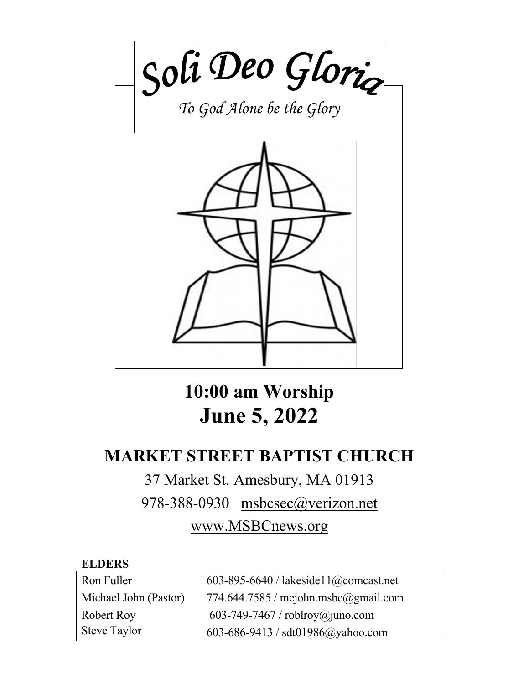

**10:00 am Worship June 5, 2022**

# **MARKET STREET BAPTIST CHURCH**

37 Market St. Amesbury, MA 01913

978-388-0930 msbcsec@verizon.net

# www.MSBCnews.org

## **ELDERS**

| Ron Fuller            | 603-895-6640 / lakeside $11$ ( $\omega$ ) comeast.net |
|-----------------------|-------------------------------------------------------|
| Michael John (Pastor) | 774.644.7585 / mejohn.msbc@gmail.com                  |
| Robert Roy            | 603-749-7467 / roblroy@juno.com                       |
| <b>Steve Taylor</b>   | 603-686-9413 / sdt01986@yahoo.com                     |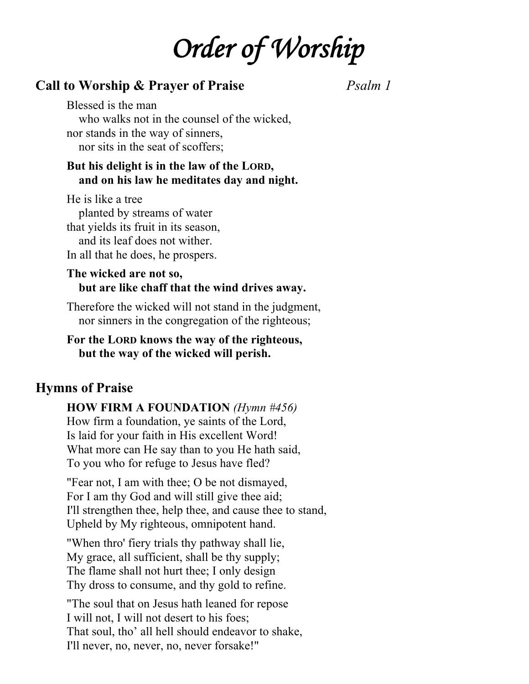*Order of Worship* 

#### **Call to Worship & Prayer of Praise** *Psalm 1*

Blessed is the man who walks not in the counsel of the wicked, nor stands in the way of sinners, nor sits in the seat of scoffers;

#### **But his delight is in the law of the LORD, and on his law he meditates day and night.**

He is like a tree planted by streams of water that yields its fruit in its season, and its leaf does not wither. In all that he does, he prospers.

#### **The wicked are not so, but are like chaff that the wind drives away.**

Therefore the wicked will not stand in the judgment, nor sinners in the congregation of the righteous;

#### **For the LORD knows the way of the righteous, but the way of the wicked will perish.**

## **Hymns of Praise**

**HOW FIRM A FOUNDATION** *(Hymn #456)* How firm a foundation, ye saints of the Lord, Is laid for your faith in His excellent Word! What more can He say than to you He hath said, To you who for refuge to Jesus have fled?

"Fear not, I am with thee; O be not dismayed, For I am thy God and will still give thee aid; I'll strengthen thee, help thee, and cause thee to stand,

Upheld by My righteous, omnipotent hand.

"When thro' fiery trials thy pathway shall lie, My grace, all sufficient, shall be thy supply; The flame shall not hurt thee; I only design Thy dross to consume, and thy gold to refine.

"The soul that on Jesus hath leaned for repose I will not, I will not desert to his foes; That soul, tho' all hell should endeavor to shake, I'll never, no, never, no, never forsake!"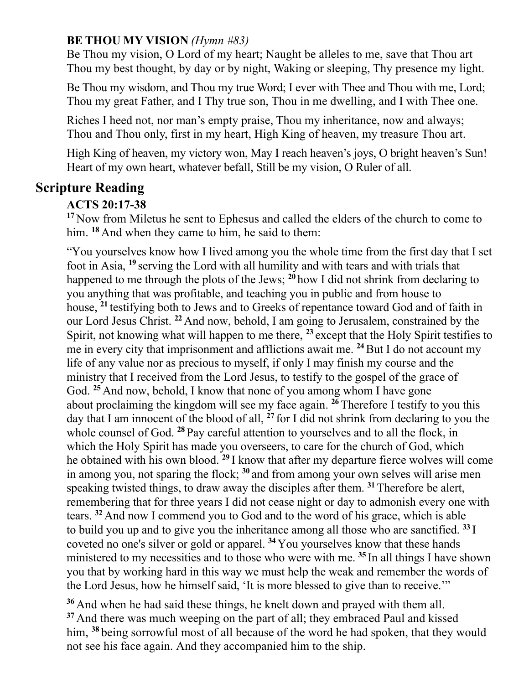#### **BE THOU MY VISION** *(Hymn #83)*

Be Thou my vision, O Lord of my heart; Naught be alleles to me, save that Thou art Thou my best thought, by day or by night, Waking or sleeping, Thy presence my light.

Be Thou my wisdom, and Thou my true Word; I ever with Thee and Thou with me, Lord; Thou my great Father, and I Thy true son, Thou in me dwelling, and I with Thee one.

Riches I heed not, nor man's empty praise, Thou my inheritance, now and always; Thou and Thou only, first in my heart, High King of heaven, my treasure Thou art.

High King of heaven, my victory won, May I reach heaven's joys, O bright heaven's Sun! Heart of my own heart, whatever befall, Still be my vision, O Ruler of all.

## **Scripture Reading**

#### **ACTS 20:17-38**

**<sup>17</sup>** Now from Miletus he sent to Ephesus and called the elders of the church to come to him. <sup>18</sup> And when they came to him, he said to them:

"You yourselves know how I lived among you the whole time from the first day that I set foot in Asia, **<sup>19</sup>** serving the Lord with all humility and with tears and with trials that happened to me through the plots of the Jews; **<sup>20</sup>** how I did not shrink from declaring to you anything that was profitable, and teaching you in public and from house to house, **<sup>21</sup>** testifying both to Jews and to Greeks of repentance toward God and of faith in our Lord Jesus Christ. **<sup>22</sup>**And now, behold, I am going to Jerusalem, constrained by the Spirit, not knowing what will happen to me there, **<sup>23</sup>** except that the Holy Spirit testifies to me in every city that imprisonment and afflictions await me. **<sup>24</sup>**But I do not account my life of any value nor as precious to myself, if only I may finish my course and the ministry that I received from the Lord Jesus, to testify to the gospel of the grace of God. **<sup>25</sup>**And now, behold, I know that none of you among whom I have gone about proclaiming the kingdom will see my face again. **<sup>26</sup>**Therefore I testify to you this day that I am innocent of the blood of all, **<sup>27</sup>** for I did not shrink from declaring to you the whole counsel of God. **<sup>28</sup>** Pay careful attention to yourselves and to all the flock, in which the Holy Spirit has made you overseers, to care for the church of God, which he obtained with his own blood. **<sup>29</sup>** I know that after my departure fierce wolves will come in among you, not sparing the flock; **<sup>30</sup>** and from among your own selves will arise men speaking twisted things, to draw away the disciples after them. **<sup>31</sup>**Therefore be alert, remembering that for three years I did not cease night or day to admonish every one with tears. **<sup>32</sup>**And now I commend you to God and to the word of his grace, which is able to build you up and to give you the inheritance among all those who are sanctified. **<sup>33</sup>** I coveted no one's silver or gold or apparel. **<sup>34</sup>**You yourselves know that these hands ministered to my necessities and to those who were with me. **<sup>35</sup>** In all things I have shown you that by working hard in this way we must help the weak and remember the words of the Lord Jesus, how he himself said, 'It is more blessed to give than to receive.'"

**<sup>36</sup>** And when he had said these things, he knelt down and prayed with them all. <sup>37</sup> And there was much weeping on the part of all; they embraced Paul and kissed him, **<sup>38</sup>** being sorrowful most of all because of the word he had spoken, that they would not see his face again. And they accompanied him to the ship.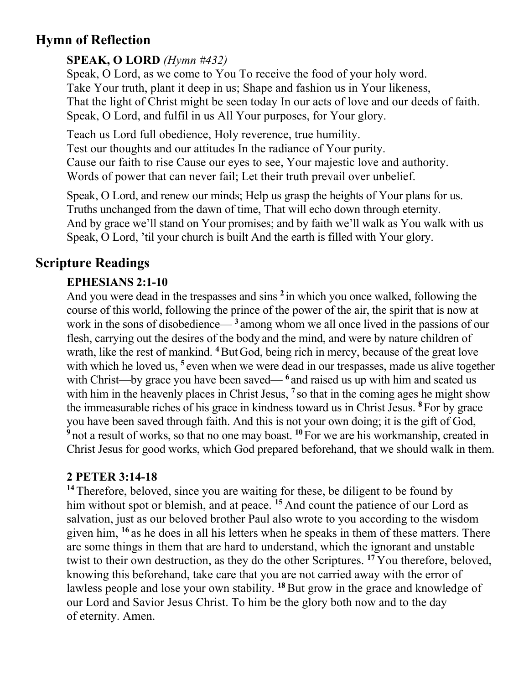# **Hymn of Reflection**

## **SPEAK, O LORD** *(Hymn #432)*

Speak, O Lord, as we come to You To receive the food of your holy word. Take Your truth, plant it deep in us; Shape and fashion us in Your likeness, That the light of Christ might be seen today In our acts of love and our deeds of faith. Speak, O Lord, and fulfil in us All Your purposes, for Your glory.

Teach us Lord full obedience, Holy reverence, true humility. Test our thoughts and our attitudes In the radiance of Your purity. Cause our faith to rise Cause our eyes to see, Your majestic love and authority. Words of power that can never fail; Let their truth prevail over unbelief.

Speak, O Lord, and renew our minds; Help us grasp the heights of Your plans for us. Truths unchanged from the dawn of time, That will echo down through eternity. And by grace we'll stand on Your promises; and by faith we'll walk as You walk with us Speak, O Lord, 'til your church is built And the earth is filled with Your glory.

# **Scripture Readings**

## **EPHESIANS 2:1-10**

And you were dead in the trespasses and sins **<sup>2</sup>** in which you once walked, following the course of this world, following the prince of the power of the air, the spirit that is now at work in the sons of disobedience— **<sup>3</sup>** among whom we all once lived in the passions of our flesh, carrying out the desires of the body and the mind, and were by nature children of wrath, like the rest of mankind. **<sup>4</sup>**ButGod, being rich in mercy, because of the great love with which he loved us, <sup>5</sup> even when we were dead in our trespasses, made us alive together with Christ—by grace you have been saved— <sup>6</sup> and raised us up with him and seated us with him in the heavenly places in Christ Jesus, <sup>7</sup> so that in the coming ages he might show the immeasurable riches of his grace in kindness toward us in Christ Jesus. **<sup>8</sup>**For by grace you have been saved through faith. And this is not your own doing; it is the gift of God, <sup>9</sup> not a result of works, so that no one may boast. <sup>10</sup> For we are his workmanship, created in Christ Jesus for good works, which God prepared beforehand, that we should walk in them.

## **2 PETER 3:14-18**

**<sup>14</sup>** Therefore, beloved, since you are waiting for these, be diligent to be found by him without spot or blemish, and at peace. **<sup>15</sup>** And count the patience of our Lord as salvation, just as our beloved brother Paul also wrote to you according to the wisdom given him, **<sup>16</sup>** as he does in all his letters when he speaks in them of these matters. There are some things in them that are hard to understand, which the ignorant and unstable twist to their own destruction, as they do the other Scriptures. **<sup>17</sup>** You therefore, beloved, knowing this beforehand, take care that you are not carried away with the error of lawless people and lose your own stability. **<sup>18</sup>**But grow in the grace and knowledge of our Lord and Savior Jesus Christ. To him be the glory both now and to the day of eternity. Amen.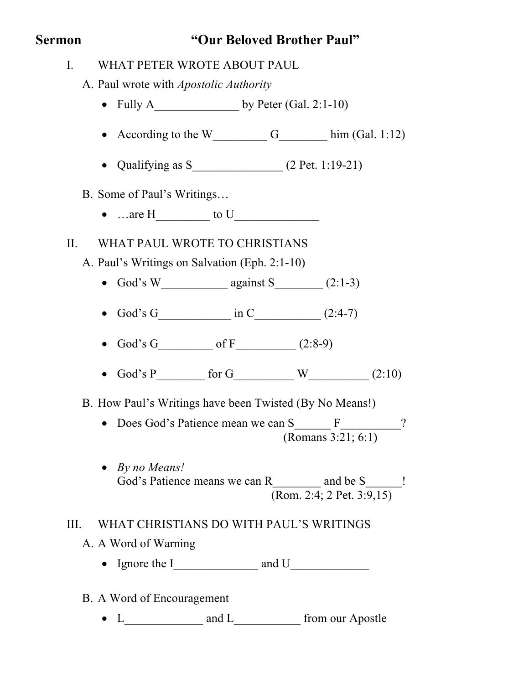# **Sermon "Our Beloved Brother Paul"**

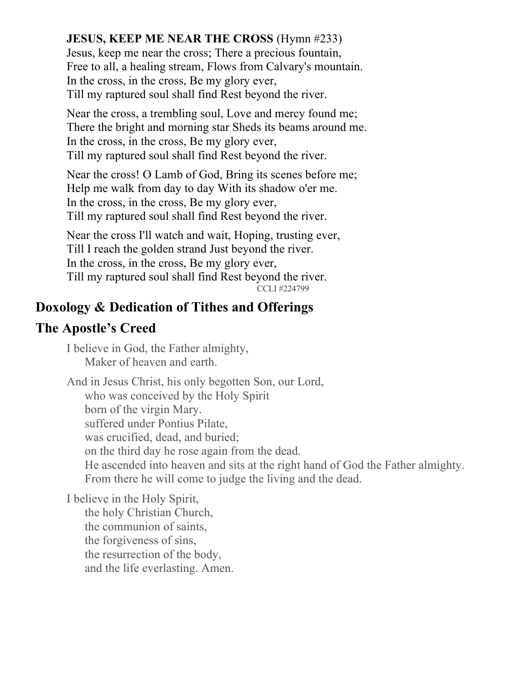#### **JESUS, KEEP ME NEAR THE CROSS** (Hymn #233)

Jesus, keep me near the cross; There a precious fountain, Free to all, a healing stream, Flows from Calvary's mountain. In the cross, in the cross, Be my glory ever, Till my raptured soul shall find Rest beyond the river.

Near the cross, a trembling soul, Love and mercy found me; There the bright and morning star Sheds its beams around me. In the cross, in the cross, Be my glory ever, Till my raptured soul shall find Rest beyond the river.

Near the cross! O Lamb of God, Bring its scenes before me; Help me walk from day to day With its shadow o'er me. In the cross, in the cross, Be my glory ever, Till my raptured soul shall find Rest beyond the river.

Near the cross I'll watch and wait, Hoping, trusting ever, Till I reach the golden strand Just beyond the river. In the cross, in the cross, Be my glory ever, Till my raptured soul shall find Rest beyond the river. CCLI #224799

# **Doxology & Dedication of Tithes and Offerings**

# **The Apostle's Creed**

I believe in God, the Father almighty, Maker of heaven and earth.

And in Jesus Christ, his only begotten Son, our Lord, who was conceived by the Holy Spirit born of the virgin Mary. suffered under Pontius Pilate, was crucified, dead, and buried; on the third day he rose again from the dead. He ascended into heaven and sits at the right hand of God the Father almighty. From there he will come to judge the living and the dead.

I believe in the Holy Spirit, the holy Christian Church, the communion of saints, the forgiveness of sins, the resurrection of the body, and the life everlasting. Amen.